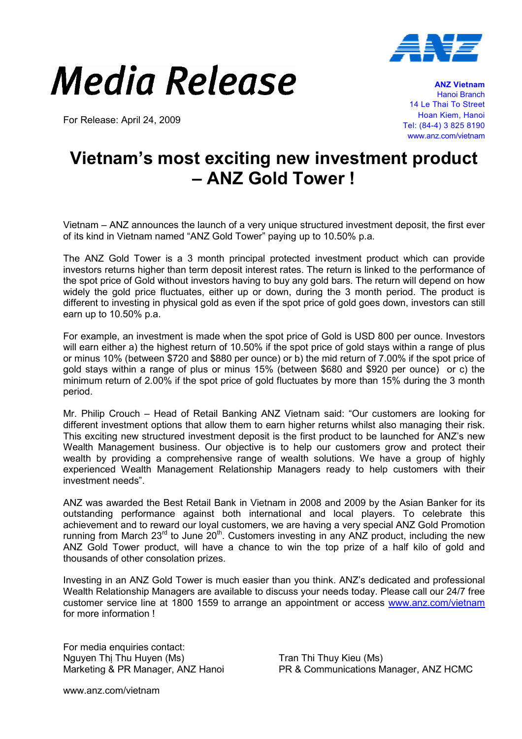

## Media Release

For Release: April 24, 2009

ANZ Vietnam Hanoi Branch 14 Le Thai To Street Hoan Kiem, Hanoi Tel: (84-4) 3 825 8190 www.anz.com/vietnam

## Vietnam's most exciting new investment product – ANZ Gold Tower !

Vietnam – ANZ announces the launch of a very unique structured investment deposit, the first ever of its kind in Vietnam named "ANZ Gold Tower" paying up to 10.50% p.a.

The ANZ Gold Tower is a 3 month principal protected investment product which can provide investors returns higher than term deposit interest rates. The return is linked to the performance of the spot price of Gold without investors having to buy any gold bars. The return will depend on how widely the gold price fluctuates, either up or down, during the 3 month period. The product is different to investing in physical gold as even if the spot price of gold goes down, investors can still earn up to 10.50% p.a.

For example, an investment is made when the spot price of Gold is USD 800 per ounce. Investors will earn either a) the highest return of 10.50% if the spot price of gold stays within a range of plus or minus 10% (between \$720 and \$880 per ounce) or b) the mid return of 7.00% if the spot price of gold stays within a range of plus or minus 15% (between \$680 and \$920 per ounce) or c) the minimum return of 2.00% if the spot price of gold fluctuates by more than 15% during the 3 month period.

Mr. Philip Crouch – Head of Retail Banking ANZ Vietnam said: "Our customers are looking for different investment options that allow them to earn higher returns whilst also managing their risk. This exciting new structured investment deposit is the first product to be launched for ANZ's new Wealth Management business. Our objective is to help our customers grow and protect their wealth by providing a comprehensive range of wealth solutions. We have a group of highly experienced Wealth Management Relationship Managers ready to help customers with their investment needs".

ANZ was awarded the Best Retail Bank in Vietnam in 2008 and 2009 by the Asian Banker for its outstanding performance against both international and local players. To celebrate this achievement and to reward our loyal customers, we are having a very special ANZ Gold Promotion running from March  $23<sup>rd</sup>$  to June  $20<sup>th</sup>$ . Customers investing in any ANZ product, including the new ANZ Gold Tower product, will have a chance to win the top prize of a half kilo of gold and thousands of other consolation prizes.

Investing in an ANZ Gold Tower is much easier than you think. ANZ's dedicated and professional Wealth Relationship Managers are available to discuss your needs today. Please call our 24/7 free customer service line at 1800 1559 to arrange an appointment or access www.anz.com/vietnam for more information !

For media enquiries contact: Nguyen Thị Thu Huyen (Ms) Marketing & PR Manager, ANZ Hanoi

Tran Thi Thuy Kieu (Ms) PR & Communications Manager, ANZ HCMC

www.anz.com/vietnam